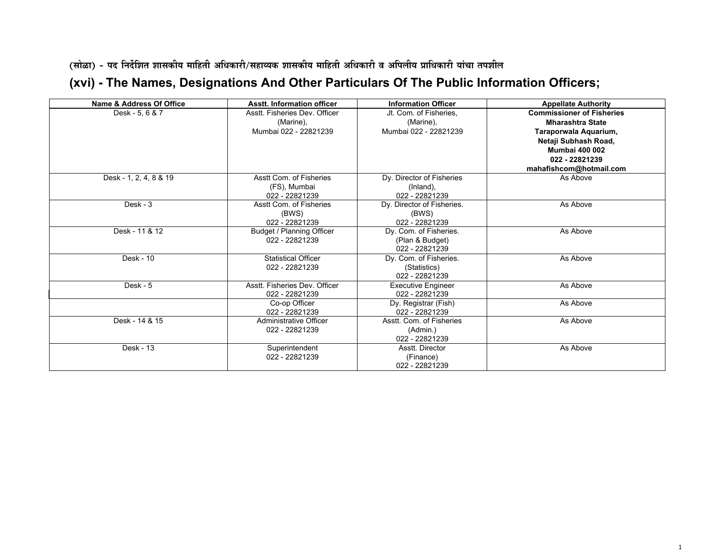(सोळा) - पद निर्देशित शासकीय माहिती अधिकारी/सहाव्यक शासकीय माहिती अधिकारी व अपिलीय प्राधिकारी यांचा तपशील

## **(xvi) The Names, Designations And Other Particulars Of The Public Information Officers;**

| Name & Address Of Office | <b>Asstt. Information officer</b>        | <b>Information Officer</b>  | <b>Appellate Authority</b>       |
|--------------------------|------------------------------------------|-----------------------------|----------------------------------|
| Desk - 5, 6 & 7          | Asstt. Fisheries Dev. Officer            | Jt. Com. of Fisheries.      | <b>Commissioner of Fisheries</b> |
|                          | (Marine),                                | (Marine),                   | <b>Mharashtra State</b>          |
|                          | Mumbai 022 - 22821239                    | Mumbai 022 - 22821239       | Taraporwala Aquarium,            |
|                          |                                          |                             | Netaji Subhash Road,             |
|                          |                                          |                             | <b>Mumbai 400 002</b>            |
|                          |                                          |                             | 022 - 22821239                   |
|                          |                                          |                             | mahafishcom@hotmail.com          |
| Desk - 1, 2, 4, 8 & 19   | Asstt Com. of Fisheries                  | Dy. Director of Fisheries   | As Above                         |
|                          | (FS), Mumbai                             | (Inland).                   |                                  |
|                          | 022 - 22821239                           | 022 - 22821239              |                                  |
| $Desk - 3$               | Asstt Com. of Fisheries                  | Dy. Director of Fisheries.  | As Above                         |
|                          | (BWS)                                    | (BWS)                       |                                  |
|                          | 022 - 22821239                           | 022 - 22821239              |                                  |
| Desk - 11 & 12           | Budget / Planning Officer                | Dy. Com. of Fisheries.      | As Above                         |
|                          | 022 - 22821239                           | (Plan & Budget)             |                                  |
|                          |                                          | 022 - 22821239              |                                  |
| Desk - 10                | <b>Statistical Officer</b>               | Dy. Com. of Fisheries.      | As Above                         |
|                          | 022 - 22821239                           | (Statistics)                |                                  |
|                          |                                          | 022 - 22821239              |                                  |
| Desk - $5$               | Asstt. Fisheries Dev. Officer            | <b>Executive Engineer</b>   | As Above                         |
|                          | 022 - 22821239                           | 022 - 22821239              |                                  |
|                          | Co-op Officer                            | Dy. Registrar (Fish)        | As Above                         |
|                          | 022 - 22821239                           | 022 - 22821239              |                                  |
| Desk - 14 & 15           | Administrative Officer<br>022 - 22821239 | Asstt. Com. of Fisheries    | As Above                         |
|                          |                                          | (Admin.)<br>022 - 22821239  |                                  |
| Desk - 13                |                                          |                             |                                  |
|                          | Superintendent<br>022 - 22821239         | Asstt. Director             | As Above                         |
|                          |                                          | (Finance)<br>022 - 22821239 |                                  |
|                          |                                          |                             |                                  |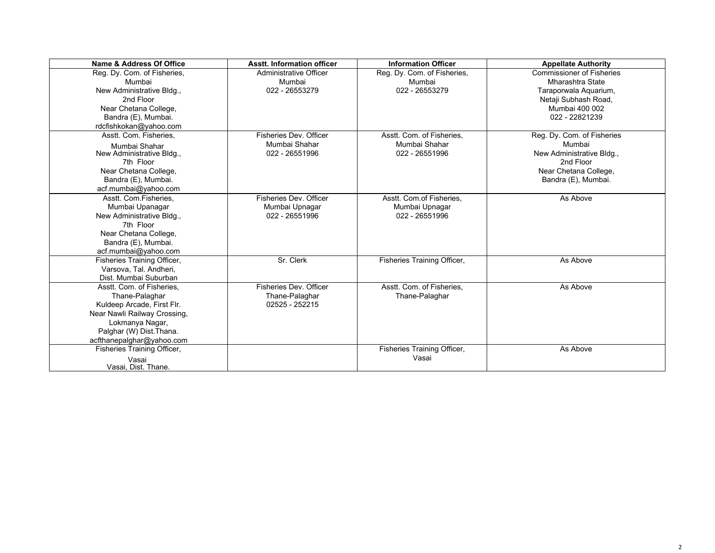| Name & Address Of Office     | <b>Asstt. Information officer</b> | <b>Information Officer</b>  | <b>Appellate Authority</b>       |
|------------------------------|-----------------------------------|-----------------------------|----------------------------------|
| Reg. Dy. Com. of Fisheries,  | <b>Administrative Officer</b>     | Reg. Dy. Com. of Fisheries, | <b>Commissioner of Fisheries</b> |
| Mumbai                       | Mumbai                            | Mumbai                      | Mharashtra State                 |
| New Administrative Bldg.,    | 022 - 26553279                    | 022 - 26553279              | Taraporwala Aquarium,            |
| 2nd Floor                    |                                   |                             | Netaji Subhash Road,             |
| Near Chetana College,        |                                   |                             | Mumbai 400 002                   |
| Bandra (E), Mumbai.          |                                   |                             | 022 - 22821239                   |
| rdcfishkokan@yahoo.com       |                                   |                             |                                  |
| Asstt. Com. Fisheries,       | Fisheries Dev. Officer            | Asstt. Com. of Fisheries.   | Reg. Dy. Com. of Fisheries       |
| Mumbai Shahar                | Mumbai Shahar                     | Mumbai Shahar               | Mumbai                           |
| New Administrative Bldg.,    | 022 - 26551996                    | 022 - 26551996              | New Administrative Bldg.,        |
| 7th Floor                    |                                   |                             | 2nd Floor                        |
| Near Chetana College,        |                                   |                             | Near Chetana College,            |
| Bandra (E), Mumbai.          |                                   |                             | Bandra (E), Mumbai.              |
| acf.mumbai@yahoo.com         |                                   |                             |                                  |
| Asstt. Com.Fisheries.        | Fisheries Dev. Officer            | Asstt. Com.of Fisheries.    | As Above                         |
| Mumbai Upanagar              | Mumbai Upnagar                    | Mumbai Upnagar              |                                  |
| New Administrative Bldg.,    | 022 - 26551996                    | 022 - 26551996              |                                  |
| 7th Floor                    |                                   |                             |                                  |
| Near Chetana College,        |                                   |                             |                                  |
| Bandra (E), Mumbai.          |                                   |                             |                                  |
| acf.mumbai@yahoo.com         |                                   |                             |                                  |
| Fisheries Training Officer,  | Sr. Clerk                         | Fisheries Training Officer, | As Above                         |
| Varsova, Tal. Andheri,       |                                   |                             |                                  |
| Dist. Mumbai Suburban        |                                   |                             |                                  |
| Asstt. Com. of Fisheries.    | Fisheries Dev. Officer            | Asstt. Com. of Fisheries,   | As Above                         |
| Thane-Palaghar               | Thane-Palaghar                    | Thane-Palaghar              |                                  |
| Kuldeep Arcade, First Flr.   | 02525 - 252215                    |                             |                                  |
| Near Nawli Railway Crossing, |                                   |                             |                                  |
| Lokmanya Nagar,              |                                   |                             |                                  |
| Palghar (W) Dist. Thana.     |                                   |                             |                                  |
| acfthanepalghar@yahoo.com    |                                   |                             |                                  |
| Fisheries Training Officer,  |                                   | Fisheries Training Officer, | As Above                         |
| Vasai                        |                                   | Vasai                       |                                  |
| Vasai, Dist. Thane.          |                                   |                             |                                  |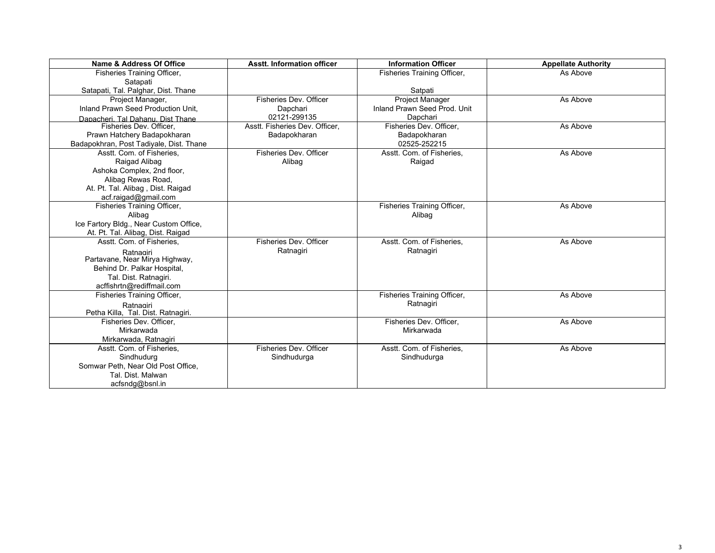| Name & Address Of Office                | <b>Asstt. Information officer</b> | <b>Information Officer</b>   | <b>Appellate Authority</b> |
|-----------------------------------------|-----------------------------------|------------------------------|----------------------------|
| Fisheries Training Officer,             |                                   | Fisheries Training Officer,  | As Above                   |
| Satapati                                |                                   |                              |                            |
| Satapati, Tal. Palghar, Dist. Thane     |                                   | Satpati                      |                            |
| Project Manager,                        | Fisheries Dev. Officer            | Project Manager              | As Above                   |
| Inland Prawn Seed Production Unit.      | Dapchari                          | Inland Prawn Seed Prod, Unit |                            |
| Dapacheri, Tal Dahanu, Dist Thane       | 02121-299135                      | Dapchari                     |                            |
| Fisheries Dev. Officer.                 | Asstt. Fisheries Dev. Officer,    | Fisheries Dev. Officer.      | As Above                   |
| Prawn Hatchery Badapokharan             | Badapokharan                      | Badapokharan                 |                            |
| Badapokhran, Post Tadiyale, Dist. Thane |                                   | 02525-252215                 |                            |
| Asstt. Com. of Fisheries.               | Fisheries Dev. Officer            | Asstt. Com. of Fisheries,    | As Above                   |
| Raigad Alibag                           | Alibag                            | Raigad                       |                            |
| Ashoka Complex, 2nd floor,              |                                   |                              |                            |
| Alibag Rewas Road,                      |                                   |                              |                            |
| At. Pt. Tal. Alibag, Dist. Raigad       |                                   |                              |                            |
| acf.raigad@gmail.com                    |                                   |                              |                            |
| Fisheries Training Officer,             |                                   | Fisheries Training Officer,  | As Above                   |
| Alibag                                  |                                   | Alibag                       |                            |
| Ice Fartory Bldg., Near Custom Office,  |                                   |                              |                            |
| At. Pt. Tal. Alibag, Dist. Raigad       |                                   |                              |                            |
| Asstt. Com. of Fisheries.               | Fisheries Dev. Officer            | Asstt. Com. of Fisheries,    | As Above                   |
| Ratnagiri                               | Ratnagiri                         | Ratnagiri                    |                            |
| Partavane, Near Mirya Highway,          |                                   |                              |                            |
| Behind Dr. Palkar Hospital,             |                                   |                              |                            |
| Tal. Dist. Ratnagiri.                   |                                   |                              |                            |
| acffishrtn@rediffmail.com               |                                   |                              |                            |
| Fisheries Training Officer,             |                                   | Fisheries Training Officer,  | As Above                   |
| Ratnagiri                               |                                   | Ratnagiri                    |                            |
| Petha Killa, Tal. Dist. Ratnagiri.      |                                   |                              |                            |
| Fisheries Dev. Officer,                 |                                   | Fisheries Dev. Officer,      | As Above                   |
| Mirkarwada                              |                                   | Mirkarwada                   |                            |
| Mirkarwada, Ratnagiri                   |                                   |                              |                            |
| Asstt. Com. of Fisheries,               | Fisheries Dev. Officer            | Asstt. Com. of Fisheries.    | As Above                   |
| Sindhudurg                              | Sindhudurga                       | Sindhudurga                  |                            |
| Somwar Peth, Near Old Post Office,      |                                   |                              |                            |
| Tal. Dist. Malwan                       |                                   |                              |                            |
| acfsndg@bsnl.in                         |                                   |                              |                            |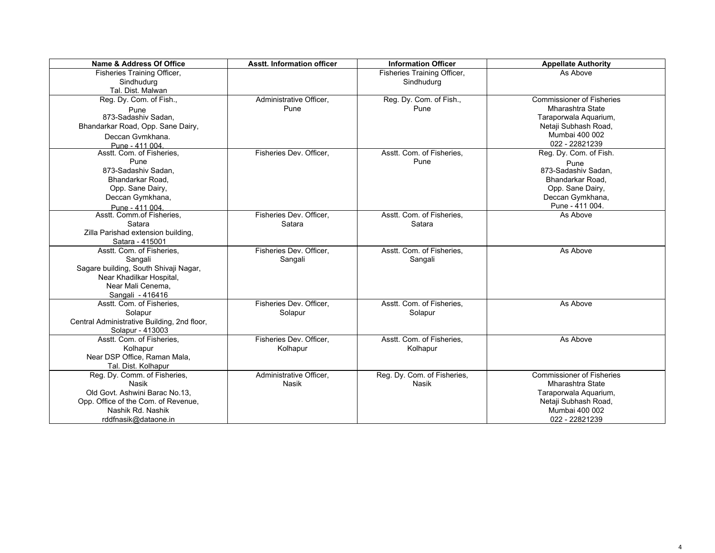| Name & Address Of Office                    | <b>Asstt. Information officer</b> | <b>Information Officer</b>  | <b>Appellate Authority</b>       |
|---------------------------------------------|-----------------------------------|-----------------------------|----------------------------------|
| Fisheries Training Officer,                 |                                   | Fisheries Training Officer, | As Above                         |
| Sindhudurg                                  |                                   | Sindhudurg                  |                                  |
| Tal. Dist. Malwan                           |                                   |                             |                                  |
| Reg. Dy. Com. of Fish.,                     | Administrative Officer,           | Reg. Dy. Com. of Fish.,     | <b>Commissioner of Fisheries</b> |
| Pune                                        | Pune                              | Pune                        | <b>Mharashtra State</b>          |
| 873-Sadashiv Sadan.                         |                                   |                             | Taraporwala Aquarium,            |
| Bhandarkar Road, Opp. Sane Dairy,           |                                   |                             | Netaji Subhash Road,             |
| Deccan Gymkhana.                            |                                   |                             | Mumbai 400 002                   |
| Pune - 411 004                              |                                   |                             | 022 - 22821239                   |
| Asstt. Com. of Fisheries,                   | Fisheries Dev. Officer,           | Asstt. Com. of Fisheries.   | Reg. Dy. Com. of Fish.           |
| Pune                                        |                                   | Pune                        | Pune                             |
| 873-Sadashiv Sadan.                         |                                   |                             | 873-Sadashiv Sadan.              |
| Bhandarkar Road.                            |                                   |                             | Bhandarkar Road.                 |
| Opp. Sane Dairy,                            |                                   |                             | Opp. Sane Dairy,                 |
| Deccan Gymkhana,                            |                                   |                             | Deccan Gymkhana,                 |
| Pune - 411 004                              |                                   |                             | Pune - 411 004.                  |
| Asstt. Comm.of Fisheries,                   | Fisheries Dev. Officer,           | Asstt. Com. of Fisheries,   | As Above                         |
| Satara                                      | Satara                            | Satara                      |                                  |
| Zilla Parishad extension building,          |                                   |                             |                                  |
| Satara - 415001                             |                                   |                             |                                  |
| Asstt. Com. of Fisheries.                   | Fisheries Dev. Officer,           | Asstt. Com. of Fisheries.   | As Above                         |
| Sangali                                     | Sangali                           | Sangali                     |                                  |
| Sagare building, South Shivaji Nagar,       |                                   |                             |                                  |
| Near Khadilkar Hospital,                    |                                   |                             |                                  |
| Near Mali Cenema.                           |                                   |                             |                                  |
| Sangali - 416416                            |                                   |                             |                                  |
| Asstt. Com. of Fisheries,                   | Fisheries Dev. Officer.           | Asstt. Com. of Fisheries.   | As Above                         |
| Solapur                                     | Solapur                           | Solapur                     |                                  |
| Central Administrative Building, 2nd floor, |                                   |                             |                                  |
| Solapur - 413003                            |                                   |                             |                                  |
| Asstt. Com. of Fisheries,                   | Fisheries Dev. Officer,           | Asstt. Com. of Fisheries,   | As Above                         |
| Kolhapur                                    | Kolhapur                          | Kolhapur                    |                                  |
| Near DSP Office, Raman Mala,                |                                   |                             |                                  |
| Tal. Dist. Kolhapur                         |                                   |                             |                                  |
| Reg. Dy. Comm. of Fisheries,                | Administrative Officer,           | Reg. Dy. Com. of Fisheries, | <b>Commissioner of Fisheries</b> |
| Nasik                                       | Nasik                             | Nasik                       | <b>Mharashtra State</b>          |
| Old Govt. Ashwini Barac No.13,              |                                   |                             | Taraporwala Aquarium,            |
| Opp. Office of the Com. of Revenue,         |                                   |                             | Netaji Subhash Road,             |
| Nashik Rd. Nashik                           |                                   |                             | Mumbai 400 002                   |
| rddfnasik@dataone.in                        |                                   |                             | 022 - 22821239                   |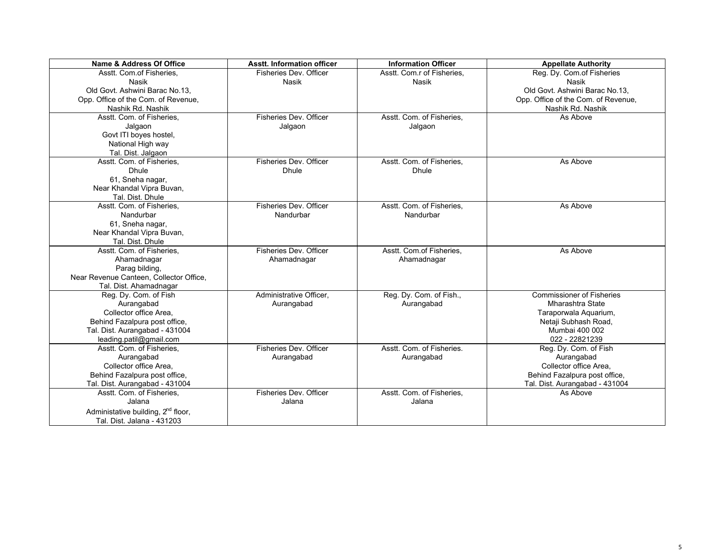| Name & Address Of Office                       | <b>Asstt. Information officer</b> | <b>Information Officer</b> | <b>Appellate Authority</b>          |
|------------------------------------------------|-----------------------------------|----------------------------|-------------------------------------|
| Asstt. Com.of Fisheries.                       | Fisheries Dev. Officer            | Asstt. Com.r of Fisheries. | Reg. Dy. Com of Fisheries           |
| Nasik                                          | <b>Nasik</b>                      | Nasik                      | Nasik                               |
| Old Govt. Ashwini Barac No.13.                 |                                   |                            | Old Govt. Ashwini Barac No.13.      |
| Opp. Office of the Com. of Revenue,            |                                   |                            | Opp. Office of the Com. of Revenue, |
| Nashik Rd. Nashik                              |                                   |                            | Nashik Rd. Nashik                   |
| Asstt. Com. of Fisheries.                      | Fisheries Dev. Officer            | Asstt. Com. of Fisheries,  | As Above                            |
| Jalgaon                                        | Jalgaon                           | Jalgaon                    |                                     |
| Govt ITI boyes hostel,                         |                                   |                            |                                     |
| National High way                              |                                   |                            |                                     |
| Tal. Dist. Jalgaon                             |                                   |                            |                                     |
| Asstt. Com. of Fisheries.                      | Fisheries Dev. Officer            | Asstt. Com. of Fisheries,  | As Above                            |
| <b>Dhule</b>                                   | <b>Dhule</b>                      | <b>Dhule</b>               |                                     |
| 61, Sneha nagar,                               |                                   |                            |                                     |
| Near Khandal Vipra Buvan,                      |                                   |                            |                                     |
| Tal. Dist. Dhule                               |                                   |                            |                                     |
| Asstt. Com. of Fisheries,                      | Fisheries Dev. Officer            | Asstt. Com. of Fisheries,  | As Above                            |
| Nandurbar                                      | Nandurbar                         | Nandurbar                  |                                     |
| 61, Sneha nagar,                               |                                   |                            |                                     |
| Near Khandal Vipra Buvan,                      |                                   |                            |                                     |
| Tal. Dist. Dhule                               |                                   |                            |                                     |
| Asstt. Com. of Fisheries.                      | Fisheries Dev. Officer            | Asstt. Com.of Fisheries.   | As Above                            |
| Ahamadnagar                                    | Ahamadnagar                       | Ahamadnagar                |                                     |
| Parag bilding,                                 |                                   |                            |                                     |
| Near Revenue Canteen, Collector Office,        |                                   |                            |                                     |
| Tal. Dist. Ahamadnagar                         |                                   |                            |                                     |
| Reg. Dy. Com. of Fish                          | Administrative Officer.           | Reg. Dy. Com. of Fish.,    | <b>Commissioner of Fisheries</b>    |
| Aurangabad                                     | Aurangabad                        | Aurangabad                 | <b>Mharashtra State</b>             |
| Collector office Area.                         |                                   |                            | Taraporwala Aquarium,               |
| Behind Fazalpura post office,                  |                                   |                            | Netaji Subhash Road,                |
| Tal. Dist. Aurangabad - 431004                 |                                   |                            | Mumbai 400 002                      |
| leading.patil@gmail.com                        |                                   |                            | 022 - 22821239                      |
| Asstt. Com. of Fisheries,                      | Fisheries Dev. Officer            | Asstt. Com. of Fisheries.  | Reg. Dy. Com. of Fish               |
| Aurangabad                                     | Aurangabad                        | Aurangabad                 | Aurangabad                          |
| Collector office Area.                         |                                   |                            | Collector office Area,              |
| Behind Fazalpura post office,                  |                                   |                            | Behind Fazalpura post office,       |
| Tal. Dist. Aurangabad - 431004                 |                                   |                            | Tal. Dist. Aurangabad - 431004      |
| Asstt. Com. of Fisheries,                      | Fisheries Dev. Officer            | Asstt. Com. of Fisheries,  | As Above                            |
| Jalana                                         | Jalana                            | Jalana                     |                                     |
| Administative building, 2 <sup>nd</sup> floor, |                                   |                            |                                     |
| Tal. Dist. Jalana - 431203                     |                                   |                            |                                     |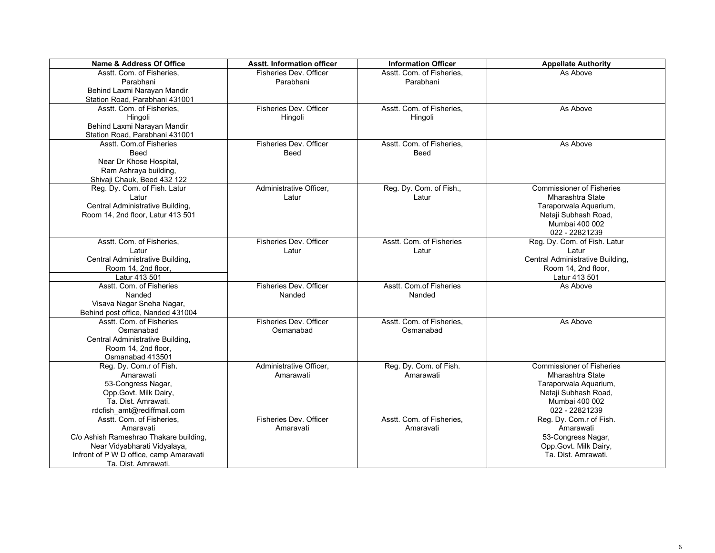| Name & Address Of Office                | <b>Asstt. Information officer</b> | <b>Information Officer</b> | <b>Appellate Authority</b>       |
|-----------------------------------------|-----------------------------------|----------------------------|----------------------------------|
| Asstt. Com. of Fisheries.               | Fisheries Dev. Officer            | Asstt. Com. of Fisheries.  | As Above                         |
| Parabhani                               | Parabhani                         | Parabhani                  |                                  |
| Behind Laxmi Narayan Mandir,            |                                   |                            |                                  |
| Station Road, Parabhani 431001          |                                   |                            |                                  |
| Asstt. Com. of Fisheries.               | Fisheries Dev. Officer            | Asstt. Com. of Fisheries,  | As Above                         |
| Hingoli                                 | Hingoli                           | Hingoli                    |                                  |
| Behind Laxmi Narayan Mandir,            |                                   |                            |                                  |
| Station Road, Parabhani 431001          |                                   |                            |                                  |
| Asstt. Com.of Fisheries                 | Fisheries Dev. Officer            | Asstt. Com. of Fisheries,  | As Above                         |
| Beed                                    | Beed                              | Beed                       |                                  |
| Near Dr Khose Hospital,                 |                                   |                            |                                  |
| Ram Ashraya building,                   |                                   |                            |                                  |
| Shivaji Chauk, Beed 432 122             |                                   |                            |                                  |
| Reg. Dy. Com. of Fish. Latur            | Administrative Officer,           | Reg. Dy. Com. of Fish.,    | <b>Commissioner of Fisheries</b> |
| Latur                                   | Latur                             | Latur                      | Mharashtra State                 |
| Central Administrative Building,        |                                   |                            | Taraporwala Aquarium,            |
| Room 14, 2nd floor, Latur 413 501       |                                   |                            | Netaji Subhash Road,             |
|                                         |                                   |                            | Mumbai 400 002                   |
|                                         |                                   |                            | 022 - 22821239                   |
| Asstt. Com. of Fisheries,               | Fisheries Dev. Officer            | Asstt. Com. of Fisheries   | Reg. Dy. Com. of Fish. Latur     |
| Latur                                   | Latur                             | Latur                      | Latur                            |
| Central Administrative Building,        |                                   |                            | Central Administrative Building, |
| Room 14, 2nd floor,                     |                                   |                            | Room 14, 2nd floor,              |
| Latur 413 501                           |                                   |                            | Latur 413 501                    |
| Asstt. Com. of Fisheries                | Fisheries Dev. Officer            | Asstt. Com.of Fisheries    | As Above                         |
| Nanded                                  | Nanded                            | Nanded                     |                                  |
| Visava Nagar Sneha Nagar,               |                                   |                            |                                  |
| Behind post office, Nanded 431004       |                                   |                            |                                  |
| Asstt. Com. of Fisheries                | Fisheries Dev. Officer            | Asstt. Com. of Fisheries,  | As Above                         |
| Osmanabad                               | Osmanabad                         | Osmanabad                  |                                  |
| Central Administrative Building,        |                                   |                            |                                  |
| Room 14, 2nd floor.                     |                                   |                            |                                  |
| Osmanabad 413501                        |                                   |                            |                                  |
| Reg. Dy. Com.r of Fish.                 | Administrative Officer,           | Reg. Dy. Com. of Fish.     | <b>Commissioner of Fisheries</b> |
| Amarawati                               | Amarawati                         | Amarawati                  | Mharashtra State                 |
| 53-Congress Nagar,                      |                                   |                            | Taraporwala Aquarium,            |
| Opp.Govt. Milk Dairy,                   |                                   |                            | Netaji Subhash Road,             |
| Ta. Dist. Amrawati.                     |                                   |                            | Mumbai 400 002                   |
| rdcfish_amt@rediffmail.com              |                                   |                            | 022 - 22821239                   |
| Asstt. Com. of Fisheries,               | Fisheries Dev. Officer            | Asstt. Com. of Fisheries,  | Reg. Dy. Com.r of Fish.          |
| Amaravati                               | Amaravati                         | Amaravati                  | Amarawati                        |
| C/o Ashish Rameshrao Thakare building,  |                                   |                            | 53-Congress Nagar,               |
| Near Vidyabharati Vidyalaya,            |                                   |                            | Opp.Govt. Milk Dairy,            |
| Infront of P W D office, camp Amaravati |                                   |                            | Ta. Dist. Amrawati.              |
| Ta. Dist. Amrawati.                     |                                   |                            |                                  |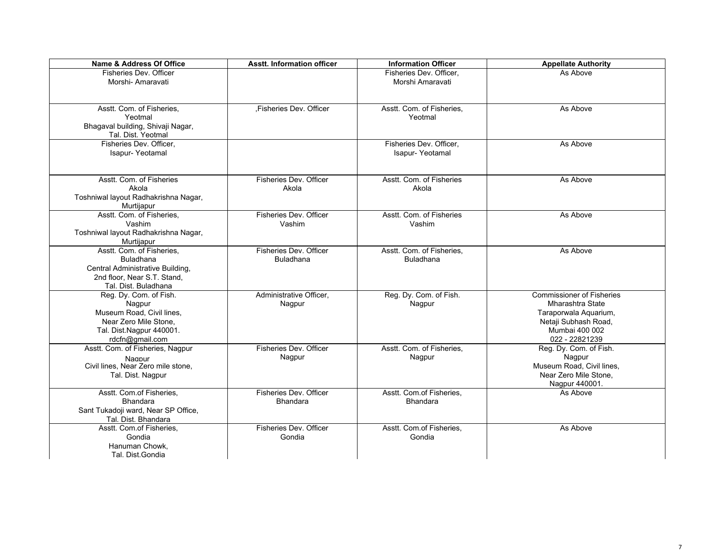| Name & Address Of Office                      | <b>Asstt. Information officer</b> | <b>Information Officer</b> | <b>Appellate Authority</b>       |
|-----------------------------------------------|-----------------------------------|----------------------------|----------------------------------|
| Fisheries Dev. Officer                        |                                   | Fisheries Dev. Officer.    | As Above                         |
| Morshi- Amaravati                             |                                   | Morshi Amaravati           |                                  |
|                                               |                                   |                            |                                  |
|                                               |                                   |                            |                                  |
| Asstt. Com. of Fisheries,                     | ,Fisheries Dev. Officer           | Asstt. Com. of Fisheries,  | As Above                         |
| Yeotmal                                       |                                   | Yeotmal                    |                                  |
| Bhagaval building, Shivaji Nagar,             |                                   |                            |                                  |
| Tal. Dist. Yeotmal<br>Fisheries Dev. Officer, |                                   | Fisheries Dev. Officer,    | As Above                         |
| Isapur-Yeotamal                               |                                   | Isapur-Yeotamal            |                                  |
|                                               |                                   |                            |                                  |
|                                               |                                   |                            |                                  |
| Asstt. Com. of Fisheries                      | Fisheries Dev. Officer            | Asstt. Com. of Fisheries   | As Above                         |
| Akola                                         | Akola                             | Akola                      |                                  |
| Toshniwal layout Radhakrishna Nagar,          |                                   |                            |                                  |
| Murtijapur                                    |                                   |                            |                                  |
| Asstt. Com. of Fisheries,                     | Fisheries Dev. Officer            | Asstt. Com. of Fisheries   | As Above                         |
| Vashim                                        | Vashim                            | Vashim                     |                                  |
| Toshniwal layout Radhakrishna Nagar,          |                                   |                            |                                  |
| Murtijapur                                    |                                   |                            |                                  |
| Asstt. Com. of Fisheries,                     | Fisheries Dev. Officer            | Asstt. Com. of Fisheries,  | As Above                         |
| Buladhana                                     | <b>Buladhana</b>                  | <b>Buladhana</b>           |                                  |
| Central Administrative Building,              |                                   |                            |                                  |
| 2nd floor. Near S.T. Stand.                   |                                   |                            |                                  |
| Tal. Dist. Buladhana                          |                                   |                            |                                  |
| Reg. Dy. Com. of Fish.                        | Administrative Officer,           | Reg. Dy. Com. of Fish.     | <b>Commissioner of Fisheries</b> |
| Nagpur                                        | Nagpur                            | Nagpur                     | Mharashtra State                 |
| Museum Road, Civil lines,                     |                                   |                            | Taraporwala Aquarium,            |
| Near Zero Mile Stone,                         |                                   |                            | Netaji Subhash Road,             |
| Tal. Dist.Nagpur 440001.                      |                                   |                            | Mumbai 400 002                   |
| rdcfn@gmail.com                               | Fisheries Dev. Officer            |                            | 022 - 22821239                   |
| Asstt. Com. of Fisheries, Nagpur              |                                   | Asstt. Com. of Fisheries,  | Reg. Dy. Com. of Fish.<br>Nagpur |
| Nagpur<br>Civil lines, Near Zero mile stone,  | Nagpur                            | Nagpur                     | Museum Road, Civil lines,        |
| Tal. Dist. Nagpur                             |                                   |                            | Near Zero Mile Stone,            |
|                                               |                                   |                            | Nagpur 440001.                   |
| Asstt. Com.of Fisheries,                      | Fisheries Dev. Officer            | Asstt. Com.of Fisheries,   | As Above                         |
| <b>Bhandara</b>                               | <b>Bhandara</b>                   | <b>Bhandara</b>            |                                  |
| Sant Tukadoji ward, Near SP Office,           |                                   |                            |                                  |
| Tal. Dist. Bhandara                           |                                   |                            |                                  |
| Asstt. Com.of Fisheries,                      | Fisheries Dev. Officer            | Asstt. Com.of Fisheries,   | As Above                         |
| Gondia                                        | Gondia                            | Gondia                     |                                  |
| Hanuman Chowk.                                |                                   |                            |                                  |
| Tal. Dist.Gondia                              |                                   |                            |                                  |